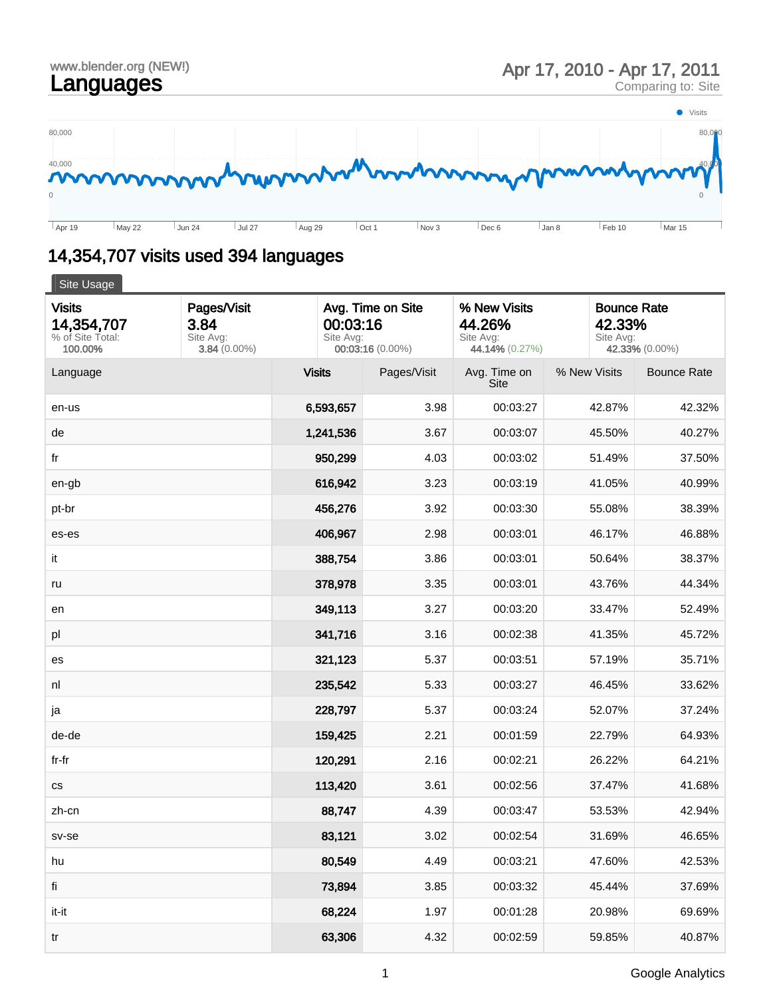

## 14,354,707 visits used 394 languages

| Site Usage                                                 |                                                    |               |                                                                                                                         |                             |              |                                                             |  |  |  |  |
|------------------------------------------------------------|----------------------------------------------------|---------------|-------------------------------------------------------------------------------------------------------------------------|-----------------------------|--------------|-------------------------------------------------------------|--|--|--|--|
| <b>Visits</b><br>14,354,707<br>% of Site Total:<br>100.00% | Pages/Visit<br>3.84<br>Site Avg:<br>$3.84(0.00\%)$ |               | Avg. Time on Site<br>% New Visits<br>00:03:16<br>44.26%<br>Site Avg:<br>Site Avg:<br>00:03:16 (0.00%)<br>44.14% (0.27%) |                             |              | <b>Bounce Rate</b><br>42.33%<br>Site Avg:<br>42.33% (0.00%) |  |  |  |  |
| Language                                                   |                                                    | <b>Visits</b> | Pages/Visit                                                                                                             | Avg. Time on<br><b>Site</b> | % New Visits | <b>Bounce Rate</b>                                          |  |  |  |  |
| en-us                                                      |                                                    | 6,593,657     | 3.98                                                                                                                    | 00:03:27                    | 42.87%       | 42.32%                                                      |  |  |  |  |
| de                                                         |                                                    | 1,241,536     | 3.67                                                                                                                    | 00:03:07                    | 45.50%       | 40.27%                                                      |  |  |  |  |
| fr                                                         |                                                    | 950,299       | 4.03                                                                                                                    | 00:03:02                    | 51.49%       | 37.50%                                                      |  |  |  |  |
| en-gb                                                      |                                                    | 616,942       | 3.23                                                                                                                    | 00:03:19                    | 41.05%       | 40.99%                                                      |  |  |  |  |
| pt-br                                                      |                                                    | 456,276       | 3.92                                                                                                                    | 00:03:30                    | 55.08%       | 38.39%                                                      |  |  |  |  |
| es-es                                                      |                                                    | 406,967       | 2.98                                                                                                                    | 00:03:01                    | 46.17%       | 46.88%                                                      |  |  |  |  |
| it                                                         |                                                    | 388,754       | 3.86                                                                                                                    | 00:03:01                    | 50.64%       | 38.37%                                                      |  |  |  |  |
| ru                                                         |                                                    | 378,978       | 3.35                                                                                                                    | 00:03:01                    | 43.76%       | 44.34%                                                      |  |  |  |  |
| en                                                         |                                                    | 349,113       | 3.27                                                                                                                    | 00:03:20                    | 33.47%       | 52.49%                                                      |  |  |  |  |
| pl                                                         |                                                    | 341,716       | 3.16                                                                                                                    | 00:02:38                    | 41.35%       | 45.72%                                                      |  |  |  |  |
| es                                                         |                                                    | 321,123       | 5.37                                                                                                                    | 00:03:51                    | 57.19%       | 35.71%                                                      |  |  |  |  |
| nl                                                         |                                                    | 235,542       | 5.33                                                                                                                    | 00:03:27                    | 46.45%       | 33.62%                                                      |  |  |  |  |
| ja                                                         |                                                    | 228,797       | 5.37                                                                                                                    | 00:03:24                    | 52.07%       | 37.24%                                                      |  |  |  |  |
| de-de                                                      |                                                    | 159,425       | 2.21                                                                                                                    | 00:01:59                    | 22.79%       | 64.93%                                                      |  |  |  |  |
| fr-fr                                                      |                                                    | 120,291       | 2.16                                                                                                                    | 00:02:21                    | 26.22%       | 64.21%                                                      |  |  |  |  |
| $\mathsf{CS}\xspace$                                       |                                                    | 113,420       | 3.61                                                                                                                    | 00:02:56                    | 37.47%       | 41.68%                                                      |  |  |  |  |
| zh-cn                                                      |                                                    | 88,747        | 4.39                                                                                                                    | 00:03:47                    | 53.53%       | 42.94%                                                      |  |  |  |  |
| sv-se                                                      |                                                    | 83,121        | 3.02                                                                                                                    | 00:02:54                    | 31.69%       | 46.65%                                                      |  |  |  |  |
| hu                                                         |                                                    | 80,549        | 4.49                                                                                                                    | 00:03:21                    | 47.60%       | 42.53%                                                      |  |  |  |  |
| fi                                                         |                                                    | 73,894        | 3.85                                                                                                                    | 00:03:32                    | 45.44%       | 37.69%                                                      |  |  |  |  |
| it-it                                                      |                                                    | 68,224        | 1.97                                                                                                                    | 00:01:28                    | 20.98%       | 69.69%                                                      |  |  |  |  |
| tr                                                         |                                                    | 63,306        | 4.32                                                                                                                    | 00:02:59                    | 59.85%       | 40.87%                                                      |  |  |  |  |